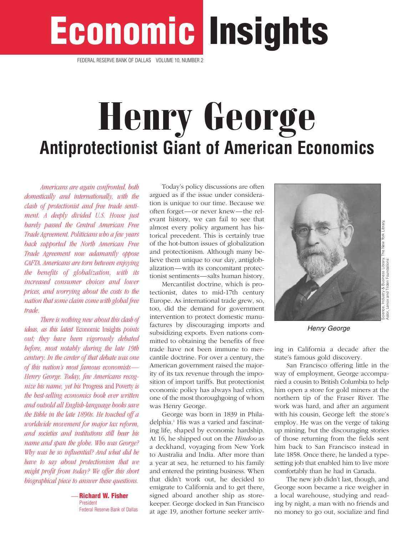# **Economic Insights**

FEDERAL RESERVE BANK OF DALLAS VOLUME 10, NUMBER 2

# **Henry George Antiprotectionist Giant of American Economics**

*Americans are again confronted, both domestically and internationally, with the clash of protectionist and free trade sentiment. A deeply divided U.S. House just barely passed the Central American Free Trade Agreement. Politicians who a few years back supported the North American Free Trade Agreement now adamantly oppose CAFTA. Americans are torn between enjoying the benefits of globalization, with its increased consumer choices and lower prices, and worrying about the costs to the nation that some claim come with global free trade.*

*There is nothing new about this clash of ideas, as this latest* Economic Insights *points out; they have been vigorously debated before, most notably during the late 19th century. In the center of that debate was one of this nation's most famous economists— Henry George. Today, few Americans recognize his name, yet his* Progress and Poverty *is the best-selling economics book ever written and outsold all English-language books save the Bible in the late 1890s. He touched off a worldwide movement for major tax reform, and societies and institutions still bear his name and span the globe. Who was George? Why was he so influential? And what did he have to say about protectionism that we might profit from today? We offer this short biographical piece to answer these questions.*

> *—* **Richard W. Fisher** President Federal Reserve Bank of Dallas

Today's policy discussions are often argued as if the issue under consideration is unique to our time. Because we often forget—or never knew—the relevant history, we can fail to see that almost every policy argument has historical precedent. This is certainly true of the hot-button issues of globalization and protectionism. Although many believe them unique to our day, antiglobalization—with its concomitant protectionist sentiments—salts human history.

Mercantilist doctrine, which is protectionist, dates to mid-17th century Europe. As international trade grew, so, too, did the demand for government intervention to protect domestic manufactures by discouraging imports and subsidizing exports. Even nations committed to obtaining the benefits of free trade have not been immune to mercantile doctrine. For over a century, the American government raised the majority of its tax revenue through the imposition of import tariffs. But protectionist economic policy has always had critics, one of the most thoroughgoing of whom was Henry George.

George was born in 1839 in Philadelphia.<sup>1</sup> His was a varied and fascinating life, shaped by economic hardship. At 16, he shipped out on the *Hindoo* as a deckhand, voyaging from New York to Australia and India. After more than a year at sea, he returned to his family and entered the printing business. When that didn't work out, he decided to emigrate to California and to get there, signed aboard another ship as storekeeper. George docked in San Francisco at age 19, another fortune seeker arriv-



Henry George

ing in California a decade after the state's famous gold discovery.

San Francisco offering little in the way of employment, George accompanied a cousin to British Columbia to help him open a store for gold miners at the northern tip of the Fraser River. The work was hard, and after an argument with his cousin, George left the store's employ. He was on the verge of taking up mining, but the discouraging stories of those returning from the fields sent him back to San Francisco instead in late 1858. Once there, he landed a typesetting job that enabled him to live more comfortably than he had in Canada.

The new job didn't last, though, and George soon became a rice weigher in a local warehouse, studying and reading by night, a man with no friends and no money to go out, socialize and find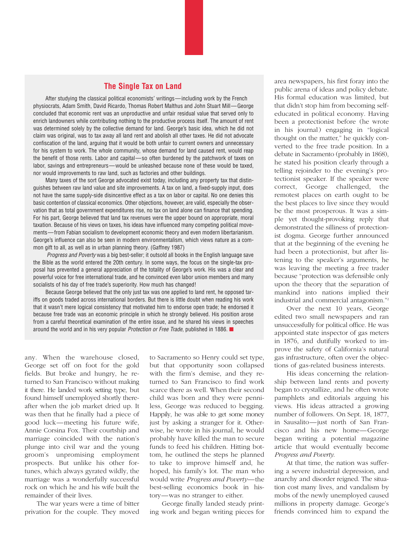#### **The Single Tax on Land**

After studying the classical political economists' writings—including work by the French physiocrats, Adam Smith, David Ricardo, Thomas Robert Malthus and John Stuart Mill—George concluded that economic rent was an unproductive and unfair residual value that served only to enrich landowners while contributing nothing to the productive process itself. The amount of rent was determined solely by the collective demand for land. George's basic idea, which he did not claim was original, was to tax away all land rent and abolish all other taxes. He did not advocate confiscation of the land, arguing that it would be both unfair to current owners and unnecessary for his system to work. The whole community, whose demand for land caused rent, would reap the benefit of those rents. Labor and capital—so often burdened by the patchwork of taxes on labor, savings and entrepreneurs—would be unleashed because none of these would be taxed, nor would improvements to raw land, such as factories and other buildings.

Many taxes of the sort George advocated exist today, including any property tax that distinguishes between raw land value and site improvements. A tax on land, a fixed-supply input, does not have the same supply-side disincentive effect as a tax on labor or capital. No one denies this basic contention of classical economics. Other objections, however, are valid, especially the observation that as total government expenditures rise, no tax on land alone can finance that spending. For his part, George believed that land tax revenues were the upper bound on appropriate, moral taxation. Because of his views on taxes, his ideas have influenced many competing political movements—from Fabian socialism to development economic theory and even modern libertarianism. George's influence can also be seen in modern environmentalism, which views nature as a common gift to all, as well as in urban planning theory. (Gaffney 1987)

Progress and Poverty was a big best-seller; it outsold all books in the English language save the Bible as the world entered the 20th century. In some ways, the focus on the single-tax proposal has prevented a general appreciation of the totality of George's work. His was a clear and powerful voice for free international trade, and he convinced even labor union members and many socialists of his day of free trade's superiority. How much has changed!

Because George believed that the only just tax was one applied to land rent, he opposed tariffs on goods traded across international borders. But there is little doubt when reading his work that it wasn't mere logical consistency that motivated him to endorse open trade; he endorsed it because free trade was an economic principle in which he strongly believed. His position arose from a careful theoretical examination of the entire issue, and he shared his views in speeches around the world and in his very popular Protection or Free Trade, published in 1886. ■

any. When the warehouse closed, George set off on foot for the gold fields. But broke and hungry, he returned to San Francisco without making it there. He landed work setting type, but found himself unemployed shortly thereafter when the job market dried up. It was then that he finally had a piece of good luck—meeting his future wife, Annie Corsina Fox. Their courtship and marriage coincided with the nation's plunge into civil war and the young groom's unpromising employment prospects. But unlike his other fortunes, which always gyrated wildly, the marriage was a wonderfully successful rock on which he and his wife built the remainder of their lives.

The war years were a time of bitter privation for the couple. They moved to Sacramento so Henry could set type, but that opportunity soon collapsed with the firm's demise, and they returned to San Francisco to find work scarce there as well. When their second child was born and they were penniless, George was reduced to begging. Happily, he was able to get some money just by asking a stranger for it. Otherwise, he wrote in his journal, he would probably have killed the man to secure funds to feed his children. Hitting bottom, he outlined the steps he planned to take to improve himself and, he hoped, his family's lot. The man who would write *Progress and Poverty*—the best-selling economics book in history—was no stranger to either.

George finally landed steady printing work and began writing pieces for area newspapers, his first foray into the public arena of ideas and policy debate. His formal education was limited, but that didn't stop him from becoming selfeducated in political economy. Having been a protectionist before (he wrote in his journal) engaging in "logical thought on the matter," he quickly converted to the free trade position. In a debate in Sacramento (probably in 1868), he stated his position clearly through a telling rejoinder to the evening's protectionist speaker. If the speaker were correct, George challenged, the remotest places on earth ought to be the best places to live since they would be the most prosperous. It was a simple yet thought-provoking reply that demonstrated the silliness of protectionist dogma. George further announced that at the beginning of the evening he had been a protectionist, but after listening to the speaker's arguments, he was leaving the meeting a free trader because "protection was defensible only upon the theory that the separation of mankind into nations implied their industrial and commercial antagonism."2

Over the next 10 years, George edited two small newspapers and ran unsuccessfully for political office. He was appointed state inspector of gas meters in 1876, and dutifully worked to improve the safety of California's natural gas infrastructure, often over the objections of gas-related business interests.

His ideas concerning the relationship between land rents and poverty began to crystallize, and he often wrote pamphlets and editorials arguing his views. His ideas attracted a growing number of followers. On Sept. 18, 1877, in Sausalito—just north of San Francisco and his new home—George began writing a potential magazine article that would eventually become *Progress and Poverty*.

At that time, the nation was suffering a severe industrial depression, and anarchy and disorder reigned. The situation cost many lives, and vandalism by mobs of the newly unemployed caused millions in property damage. George's friends convinced him to expand the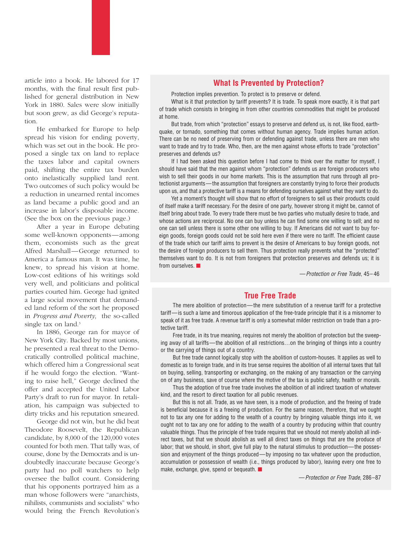article into a book. He labored for 17 months, with the final result first published for general distribution in New York in 1880. Sales were slow initially but soon grew, as did George's reputation.

He embarked for Europe to help spread his vision for ending poverty, which was set out in the book. He proposed a single tax on land to replace the taxes labor and capital owners paid, shifting the entire tax burden onto inelastically supplied land rent. Two outcomes of such policy would be a reduction in unearned rental incomes as land became a public good and an increase in labor's disposable income. (See the box on the previous page.)

After a year in Europe debating some well-known opponents—among them, economists such as the great Alfred Marshall—George returned to America a famous man. It was time, he knew, to spread his vision at home. Low-cost editions of his writings sold very well, and politicians and political parties courted him. George had ignited a large social movement that demanded land reform of the sort he proposed in *Progress and Poverty*, the so-called single tax on land.<sup>3</sup>

In 1886, George ran for mayor of New York City. Backed by most unions, he presented a real threat to the Democratically controlled political machine, which offered him a Congressional seat if he would forgo the election. "Wanting to raise hell," George declined the offer and accepted the United Labor Party's draft to run for mayor. In retaliation, his campaign was subjected to dirty tricks and his reputation smeared.

George did not win, but he did beat Theodore Roosevelt, the Republican candidate, by 8,000 of the 120,000 votes counted for both men. That tally was, of course, done by the Democrats and is undoubtedly inaccurate because George's party had no poll watchers to help oversee the ballot count. Considering that his opponents portrayed him as a man whose followers were "anarchists, nihilists, communists and socialists" who would bring the French Revolution's

#### **What Is Prevented by Protection?**

Protection implies prevention. To protect is to preserve or defend.

What is it that protection by tariff prevents? It is trade. To speak more exactly, it is that part of trade which consists in bringing in from other countries commodities that might be produced at home.

But trade, from which "protection" essays to preserve and defend us, is not, like flood, earthquake, or tornado, something that comes without human agency. Trade implies human action. There can be no need of preserving from or defending against trade, unless there are men who want to trade and try to trade. Who, then, are the men against whose efforts to trade "protection" preserves and defends us?

If I had been asked this question before I had come to think over the matter for myself, I should have said that the men against whom "protection" defends us are foreign producers who wish to sell their goods in our home markets. This is the assumption that runs through all protectionist arguments—the assumption that foreigners are constantly trying to force their products upon us, and that a protective tariff is a means for defending ourselves against what they want to do.

Yet a moment's thought will show that no effort of foreigners to sell us their products could of itself make a tariff necessary. For the desire of one party, however strong it might be, cannot of itself bring about trade. To every trade there must be two parties who mutually desire to trade, and whose actions are reciprocal. No one can buy unless he can find some one willing to sell; and no one can sell unless there is some other one willing to buy. If Americans did not want to buy foreign goods, foreign goods could not be sold here even if there were no tariff. The efficient cause of the trade which our tariff aims to prevent is the desire of Americans to buy foreign goods, not the desire of foreign producers to sell them. Thus protection really prevents what the "protected" themselves want to do. It is not from foreigners that protection preserves and defends us; it is from ourselves. ■

—Protection or Free Trade, 45– 46

## **True Free Trade**

The mere abolition of protection—the mere substitution of a revenue tariff for a protective tariff—is such a lame and timorous application of the free-trade principle that it is a misnomer to speak of it as free trade. A revenue tariff is only a somewhat milder restriction on trade than a protective tariff.

Free trade, in its true meaning, requires not merely the abolition of protection but the sweeping away of all tariffs—the abolition of all restrictions…on the bringing of things into a country or the carrying of things out of a country.

But free trade cannot logically stop with the abolition of custom-houses. It applies as well to domestic as to foreign trade, and in its true sense requires the abolition of all internal taxes that fall on buying, selling, transporting or exchanging, on the making of any transaction or the carrying on of any business, save of course where the motive of the tax is public safety, health or morals.

Thus the adoption of true free trade involves the abolition of all indirect taxation of whatever kind, and the resort to direct taxation for all public revenues.

But this is not all. Trade, as we have seen, is a mode of production, and the freeing of trade is beneficial because it is a freeing of production. For the same reason, therefore, that we ought not to tax any one for adding to the wealth of a country by bringing valuable things into it, we ought not to tax any one for adding to the wealth of a country by producing within that country valuable things. Thus the principle of free trade requires that we should not merely abolish all indirect taxes, but that we should abolish as well all direct taxes on things that are the produce of labor; that we should, in short, give full play to the natural stimulus to production—the possession and enjoyment of the things produced—by imposing no tax whatever upon the production, accumulation or possession of wealth (i.e., things produced by labor), leaving every one free to make, exchange, give, spend or bequeath. ■

—Protection or Free Trade, 286–87